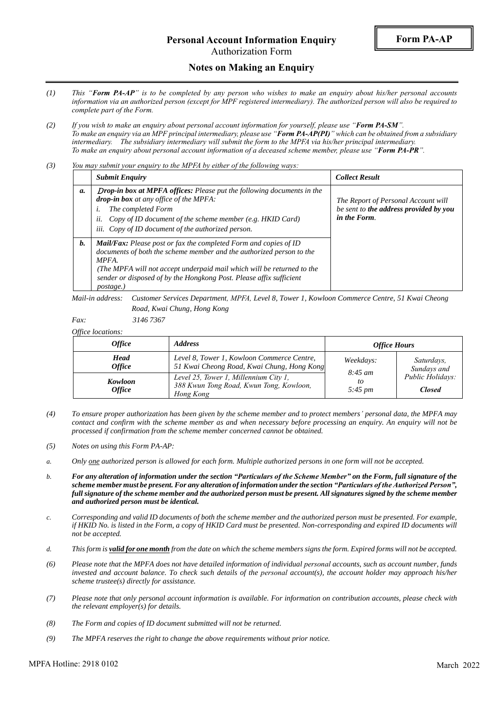# **Personal Account Information Enquiry**

Authorization Form

### **Notes on Making an Enquiry**

- *(1) This "Form PA-AP" is to be completed by any person who wishes to make an enquiry about his/her personal accounts information via an authorized person (except for MPF registered intermediary). The authorized person will also be required to complete part of the Form.*
- *(2) If you wish to make an enquiry about personal account information for yourself, please use "Form PA-SM". To make an enquiry via an MPF principal intermediary, please use "Form PA-AP(PI)" which can be obtained from a subsidiary intermediary. The subsidiary intermediary will submit the form to the MPFA via his/her principal intermediary. To make an enquiry about personal account information of a deceased scheme member, please use "Form PA-PR".*
- *(3) You may submit your enquiry to the MPFA by either of the following ways:*

|            | <b>Submit Enquiry</b>                                                                                                                                                                                                                                                                                           | <b>Collect Result</b>                                                                         |
|------------|-----------------------------------------------------------------------------------------------------------------------------------------------------------------------------------------------------------------------------------------------------------------------------------------------------------------|-----------------------------------------------------------------------------------------------|
| <i>a</i> . | <b>Drop-in box at MPFA offices:</b> Please put the following documents in the<br>drop-in box at any office of the MPFA:<br>The completed Form<br>Copy of ID document of the scheme member (e.g. HKID Card)<br>$u$ .<br>iii. Copy of ID document of the authorized person.                                       | The Report of Personal Account will<br>be sent to the address provided by you<br>in the Form. |
| <i>b.</i>  | Mail/Fax: Please post or fax the completed Form and copies of ID<br>documents of both the scheme member and the authorized person to the<br>MPFA.<br>(The MPFA will not accept underpaid mail which will be returned to the<br>sender or disposed of by the Hongkong Post. Please affix sufficient<br>postage.) |                                                                                               |

*Mail-in address: Customer Services Department, MPFA, Level 8, Tower 1, Kowloon Commerce Centre, 51 Kwai Cheong Road, Kwai Chung, Hong Kong*

*Fax: 3146 7367*

*Office locations:*

| <i><b>Office</b></i>            | <i><b>Address</b></i>                                                                         | <b>Office Hours</b>                                    |                                                                |
|---------------------------------|-----------------------------------------------------------------------------------------------|--------------------------------------------------------|----------------------------------------------------------------|
| Head<br><i><b>Office</b></i>    | Level 8, Tower 1, Kowloon Commerce Centre,<br>51 Kwai Cheong Road, Kwai Chung, Hong Kong      | Weekdays:<br>$8:45 \; am$<br>to<br>$5:45 \, \text{pm}$ | Saturdays,<br>Sundays and<br>Public Holidays:<br><b>Closed</b> |
| Kowloon<br><i><b>Office</b></i> | Level 25, Tower 1, Millennium City 1,<br>388 Kwun Tong Road, Kwun Tong, Kowloon,<br>Hong Kong |                                                        |                                                                |

- *(4) To ensure proper authorization has been given by the scheme member and to protect members' personal data, the MPFA may contact and confirm with the scheme member as and when necessary before processing an enquiry. An enquiry will not be processed if confirmation from the scheme member concerned cannot be obtained.*
- *(5) Notes on using this Form PA-AP:*
- *a. Only one authorized person is allowed for each form. Multiple authorized persons in one form will not be accepted.*
- *b. For any alteration of information under the section "Particulars of the Scheme Member" on the Form, full signature of the scheme member must be present. For any alteration of information under the section "Particulars of the Authorized Person", full signature of the scheme member and the authorized person must be present. All signatures signed by the scheme member and authorized person must be identical.*
- *c. Corresponding and valid ID documents of both the scheme member and the authorized person must be presented. For example, if HKID No. is listed in the Form, a copy of HKID Card must be presented. Non-corresponding and expired ID documents will not be accepted.*
- *d. This form is valid for one month from the date on which the scheme members signs the form. Expired forms will not be accepted.*
- *(6) Please note that the MPFA does not have detailed information of individual personal accounts, such as account number, funds invested and account balance. To check such details of the personal account(s), the account holder may approach his/her scheme trustee(s) directly for assistance.*
- *(7) Please note that only personal account information is available. For information on contribution accounts, please check with the relevant employer(s) for details.*
- *(8) The Form and copies of ID document submitted will not be returned.*
- *(9) The MPFA reserves the right to change the above requirements without prior notice.*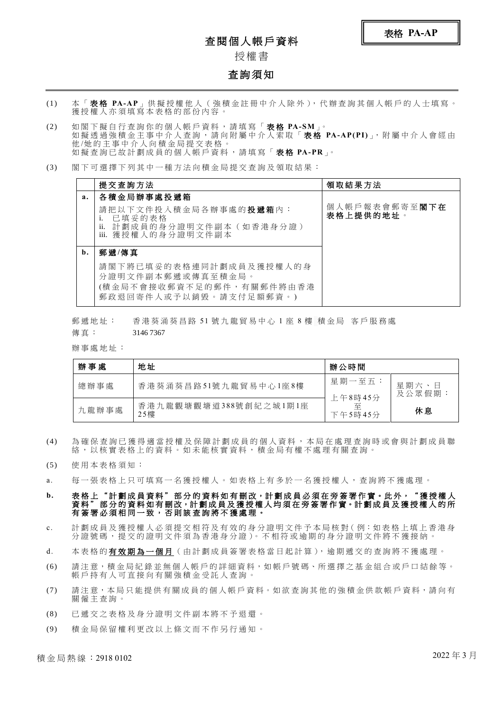### 查閱個人帳戶資料

授權 書

#### 查詢須知

- (1) 本 「 表 格 **PA-AP**」 供 擬 授 權 他 人 ( 強 積 金 註 冊 中 介 人 除 外 ), 代 辦 查 詢 其 個 人 帳 戶 的 人 士 填 寫 。 獲授權人亦須填寫本表格的部份內容。
- (2) 如 閣 下 擬 自 行 查 詢 你 的 個 人 帳 戶 資 料 , 請 填 寫 「 表 格 **PA-SM**」。 如 擬 透 過 強 積 金 主 事 中 介 人 查 詢 , 請 向 附 屬 中 介 人 索 取 「 表 格 **PA-AP(PI)**」, 附 屬 中 介 人 會 經 由 他 /她 的 主 事 中 介 人 向 積 金 局 提 交 表 格 。 如 擬 查 詢 已 故 計 劃 成 員 的 個 人 帳 戶 資 料 , 請 填 寫 「 表 格 **PA-PR**」。
- (3) 閣 下 可 選 擇 下 列 其 中 一 種 方 法 向 積 金 局 提 交 查 詢 及 領 取 結 果 :

|    | 提交査詢方法                                                                                                              | 領取結果方法                     |  |
|----|---------------------------------------------------------------------------------------------------------------------|----------------------------|--|
| a. | 各積金局辦事處投遞箱                                                                                                          |                            |  |
|    | 請把以下文件投入積金局各辦事處的 <b>投遞箱</b> 內:<br>已填妥的表格<br>ii.<br>計劃成員的身分證明文件副本(如香港身分證)<br>iii. 獲授權人的身分證明文件副本                      | 個人帳戶報表會郵寄至閣下在<br>表格上提供的地址。 |  |
| b. | 郵遞/傳真                                                                                                               |                            |  |
|    | 請閣下將已填妥的表格連同計劃成員及獲授權人的身<br>分 證 明 文 件 副 本 郵 遞 或 傳 真 至 積 金 局 。<br>(積金局不會接收郵資不足的郵件,有關郵件將由香港)<br>郵政退回寄件人或予以銷毀。請支付足額郵資。) |                            |  |

郵遞地址: 香港葵涌葵昌路 51 號九龍貿易中心 1 座 8 樓 積金局 客戶服務處 傳真: 3146 7367

辦事處地址:

| 辦事處   | 地址                           | 辦公時間                    |                |
|-------|------------------------------|-------------------------|----------------|
| 總辦事處  | 香港葵涌葵昌路51號九龍貿易中心1座8樓         | 星期一至五:                  | 星期六、日<br>及公眾假期 |
| 九龍辦事處 | 香港九龍觀塘觀塘道388號創紀之城1期1座<br>25樓 | 上午8時45分<br>죠<br>下午5時45分 | 休息             |

- (4) 為 確 保 查 詢 已 獲 得 適 當 授 權 及 保 障 計 劃 成 員 的 個 人 資 料 , 本 局 在 處 理 查 詢 時 或 會 與 計 劃 成 員 聯 絡 , 以 核 實 表 格 上 的 資 料 。 如 未 能 核 實 資 料 , 積 金 局 有 權 不 處 理 有 關 查 詢 。
- (5) 使 用 本 表 格 須 知 :
- a. 每一張表格上只可填寫一名獲授權人。如表格上有多於一名獲授權人,查詢將不獲處理。
- b. 表格上"計劃成員資料"部分的資料如有刪改,計劃成員必須在旁簽署作實。此外,"獲授權人 《13五一11日》《《11一11》,第《11》,第《11》,第《11页》《11》《11》、《11】《22》<br>資料"部分的資料如有刪改,計劃成員及獲授權人均須在旁簽署作實。計劃成員及獲授權人的所 有簽署必須相同一致,否則該查詢將不獲處理。
- c. 計劃成員及獲授權人必須提交相符及有效的身分證明文件予本局核對(例:如表格上填上香港身 分證號碼,提交的證明文件須為香港身分證)。不相符或逾期的身分證明文件將不獲接納。
- d. 本表格的**有效期為一個月** ( 由計劃成員簽署表格當日起計算), 逾期遞交的查詢將不獲處理。
- (6) 請 注 意,積 金 局 紀 錄 並 無 個 人 帳 戶 的 詳 細 資 料,如 帳 戶 號 碼、所 選 擇 之 基 金 組 合 或 戶 口 結 餘 等。 帳 戶 持 有 人 可 直 接 向 有 關 強 積 金 受 託 人 查 詢 。
- (7) 請注意,本局只能提供有關成員的個人帳戶資料。如欲查詢其他的強積金供款帳戶資料,請向有 關 僱 主 查 詢 。
- (8) 已 遞 交 之 表 格 及 身 分 證 明 文 件 副 本 將 不 予 退 還 。
- (9) 積 金 局 保 留 權 利 更 改 以 上 條 文 而 不 作 另 行 通 知 。

積金局熱線:2918 0102 2022 年 3 月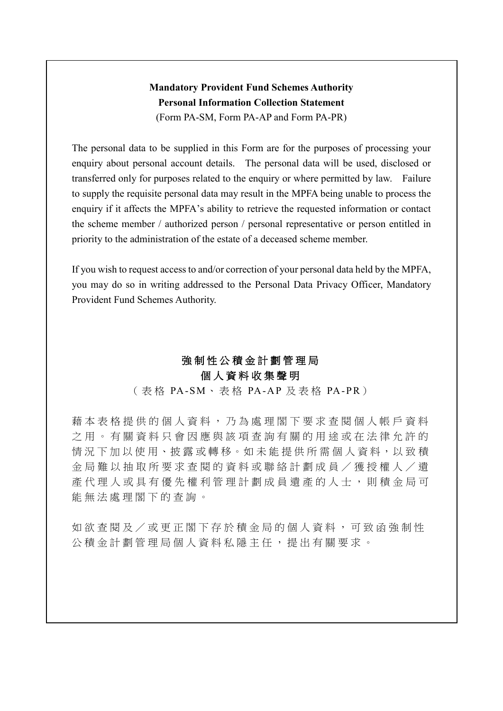## **Mandatory Provident Fund Schemes Authority Personal Information Collection Statement** (Form PA-SM, Form PA-AP and Form PA-PR)

The personal data to be supplied in this Form are for the purposes of processing your enquiry about personal account details. The personal data will be used, disclosed or transferred only for purposes related to the enquiry or where permitted by law. Failure to supply the requisite personal data may result in the MPFA being unable to process the enquiry if it affects the MPFA's ability to retrieve the requested information or contact the scheme member / authorized person / personal representative or person entitled in priority to the administration of the estate of a deceased scheme member.

If you wish to request access to and/or correction of your personal data held by the MPFA, you may do so in writing addressed to the Personal Data Privacy Officer, Mandatory Provident Fund Schemes Authority.

# 強 制 性 公 積 金 計 劃 管 理 局

## 個 人 資 料 收 集 聲 明

(表格 PA-SM、表格 PA-AP 及表格 PA-PR)

藉 本 表 格 提 供 的 個 人 資 料 , 乃 為 處 理 閣 下 要 求 查 閱 個 人 帳 戶 資 料 之用。有關資料只會因應與該項查詢有關的用途或在法律允許的 情況下加以使用、披露或轉移。如未能提供所需個人資料,以致積 金 局 難 以 抽 取 所 要 求 查 閱 的 資 料 或 聯 絡 計 劃 成 員 / 獲 授 權 人 / 遺 產代理人或具有優先權利管理計劃成員遺產的人士,則積金局可 能無法處理閣下的查詢。

如欲查閱及/或更正閣下存於積金局的個人資料,可致函強制性 公積金計劃管理局個人資料私隱主任,提出有關要求。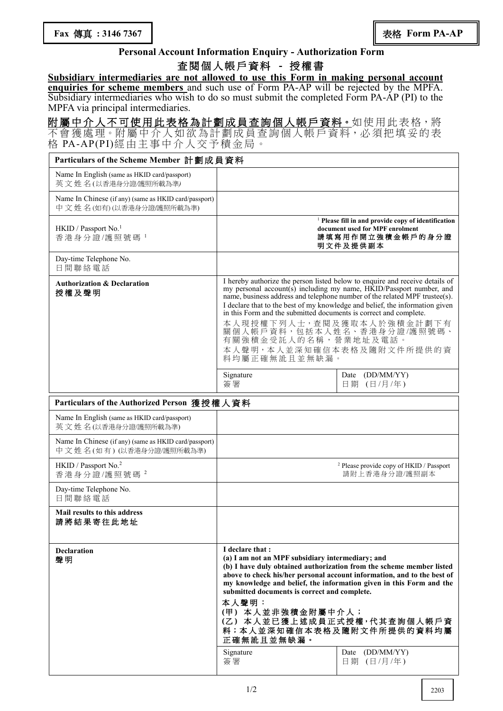### **Personal Account Information Enquiry - Authorization Form**

### 查 閱 個 人 帳 戶資 料 **-** 授權書

**Subsidiary intermediaries are not allowed to use this Form in making personal account enquiries for scheme members** and such use of Form PA-AP will be rejected by the MPFA. Subsidiary intermediaries who wish to do so must submit the completed Form PA-AP (PI) to the MPFA via principal intermediaries.

附屬中介人不可使用此表格為計劃成員查詢個人帳戶資料。如使用此表格,將 不會獲處理。附屬中介人如欲為計劃成員查詢個人帳戶資料,必須把填妥的表 格 PA-AP(PI)經 由主 事中 介 人交 予 積金 局。

| Particulars of the Scheme Member 計劃成員資料                                          |                                                                                                                                                                                                                                                                                                                                                                                                                                                                                                                         |                                                                                                                                   |  |  |  |  |
|----------------------------------------------------------------------------------|-------------------------------------------------------------------------------------------------------------------------------------------------------------------------------------------------------------------------------------------------------------------------------------------------------------------------------------------------------------------------------------------------------------------------------------------------------------------------------------------------------------------------|-----------------------------------------------------------------------------------------------------------------------------------|--|--|--|--|
| Name In English (same as HKID card/passport)<br>英文 姓名(以香港身分證/護照所載為準)             |                                                                                                                                                                                                                                                                                                                                                                                                                                                                                                                         |                                                                                                                                   |  |  |  |  |
| Name In Chinese (if any) (same as HKID card/passport)<br>中文姓名(如有)(以香港身分證應照所載為準)  |                                                                                                                                                                                                                                                                                                                                                                                                                                                                                                                         |                                                                                                                                   |  |  |  |  |
| HKID / Passport No. <sup>1</sup><br>香港身分證/護照號碼 1                                 |                                                                                                                                                                                                                                                                                                                                                                                                                                                                                                                         | <sup>1</sup> Please fill in and provide copy of identification<br>document used for MPF enrolment<br>請填寫用作開立強積金帳戶的身分證<br>明文件及提供副本 |  |  |  |  |
| Day-time Telephone No.<br>日間聯絡電話                                                 |                                                                                                                                                                                                                                                                                                                                                                                                                                                                                                                         |                                                                                                                                   |  |  |  |  |
| <b>Authorization &amp; Declaration</b><br>授權及聲明                                  | I hereby authorize the person listed below to enquire and receive details of<br>my personal account(s) including my name, HKID/Passport number, and<br>name, business address and telephone number of the related MPF trustee(s).<br>I declare that to the best of my knowledge and belief, the information given<br>in this Form and the submitted documents is correct and complete.<br>本人現授權下列人士,查閱及獲取本人於強積金計劃下有<br>關個人帳戶資料,包括本人姓名、香港身分證/護照號碼、<br>有關強積金受託人的名稱,營業地址及電話。<br>本人聲明,本人並深知確信本表格及隨附文件所提供的資<br>料均屬正確無訛且並無缺漏。 |                                                                                                                                   |  |  |  |  |
|                                                                                  | Signature<br>簽署                                                                                                                                                                                                                                                                                                                                                                                                                                                                                                         | Date (DD/MM/YY)<br>日期 (日/月/年)                                                                                                     |  |  |  |  |
| Particulars of the Authorized Person 獲授權人資料                                      |                                                                                                                                                                                                                                                                                                                                                                                                                                                                                                                         |                                                                                                                                   |  |  |  |  |
| Name In English (same as HKID card/passport)<br>英文姓名(以香港身分證/護照所載為準)              |                                                                                                                                                                                                                                                                                                                                                                                                                                                                                                                         |                                                                                                                                   |  |  |  |  |
| Name In Chinese (if any) (same as HKID card/passport)<br>中文姓名(如有)(以香港身分證/護照所載為準) |                                                                                                                                                                                                                                                                                                                                                                                                                                                                                                                         |                                                                                                                                   |  |  |  |  |
| HKID / Passport No. <sup>2</sup><br>香港身分證/護照號碼 <sup>2</sup>                      | <sup>2</sup> Please provide copy of HKID / Passport<br>請附上香港身分證/護照副本                                                                                                                                                                                                                                                                                                                                                                                                                                                    |                                                                                                                                   |  |  |  |  |
| Day-time Telephone No.<br>日間聯絡電話                                                 |                                                                                                                                                                                                                                                                                                                                                                                                                                                                                                                         |                                                                                                                                   |  |  |  |  |
| <b>Mail results to this address</b><br>請將結果寄往此地址                                 |                                                                                                                                                                                                                                                                                                                                                                                                                                                                                                                         |                                                                                                                                   |  |  |  |  |
| <b>Declaration</b><br>聲明                                                         | I declare that :<br>(a) I am not an MPF subsidiary intermediary; and<br>(b) I have duly obtained authorization from the scheme member listed<br>above to check his/her personal account information, and to the best of<br>my knowledge and belief, the information given in this Form and the<br>submitted documents is correct and complete.<br>本人聲明:<br>(甲) 本人並非強積金附屬中介人;<br>(乙) 本人並已獲上述成員正式授權,代其查詢個人帳戶資<br>料;本人並深知確信本表格及隨附文件所提供的資料均屬<br>正確無訛且並無缺漏。                                                                  |                                                                                                                                   |  |  |  |  |
|                                                                                  | Signature<br>簽署                                                                                                                                                                                                                                                                                                                                                                                                                                                                                                         | Date (DD/MM/YY)<br>日期 (日/月/年)                                                                                                     |  |  |  |  |